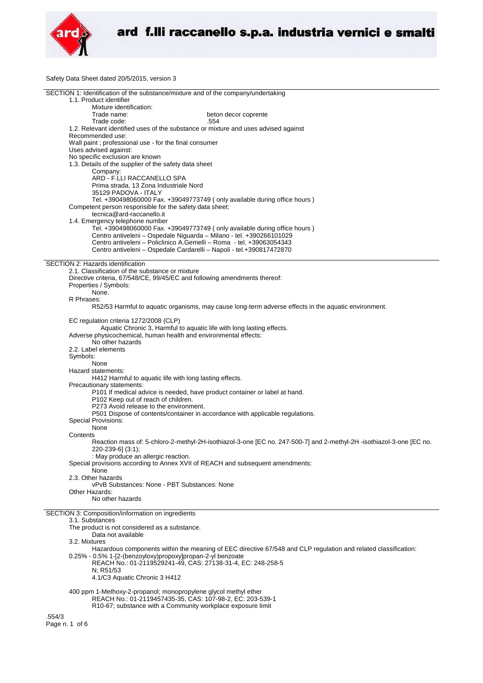

Safety Data Sheet dated 20/5/2015, version 3

| SECTION 1: Identification of the substance/mixture and of the company/undertaking                                    |  |  |
|----------------------------------------------------------------------------------------------------------------------|--|--|
| 1.1. Product identifier                                                                                              |  |  |
| Mixture identification:                                                                                              |  |  |
| Trade name:<br>beton decor coprente                                                                                  |  |  |
| Trade code:<br>.554                                                                                                  |  |  |
| 1.2. Relevant identified uses of the substance or mixture and uses advised against                                   |  |  |
| Recommended use:                                                                                                     |  |  |
| Wall paint ; professional use - for the final consumer                                                               |  |  |
| Uses advised against:                                                                                                |  |  |
| No specific exclusion are known                                                                                      |  |  |
| 1.3. Details of the supplier of the safety data sheet                                                                |  |  |
| Company:                                                                                                             |  |  |
| ARD - F.LLI RACCANELLO SPA                                                                                           |  |  |
| Prima strada, 13 Zona Industriale Nord                                                                               |  |  |
| 35129 PADOVA - ITALY                                                                                                 |  |  |
| Tel. +390498060000 Fax. +39049773749 (only available during office hours)                                            |  |  |
| Competent person responsible for the safety data sheet:                                                              |  |  |
| tecnica@ard-raccanello.it                                                                                            |  |  |
| 1.4. Emergency telephone number                                                                                      |  |  |
| Tel. +390498060000 Fax. +39049773749 (only available during office hours)                                            |  |  |
| Centro antiveleni - Ospedale Niguarda - Milano - tel. +390266101029                                                  |  |  |
| Centro antiveleni – Policlinico A.Gemelli – Roma - tel. +39063054343                                                 |  |  |
| Centro antiveleni - Ospedale Cardarelli - Napoli - tel.+390817472870                                                 |  |  |
|                                                                                                                      |  |  |
| SECTION 2: Hazards identification                                                                                    |  |  |
| 2.1. Classification of the substance or mixture                                                                      |  |  |
| Directive criteria, 67/548/CE, 99/45/EC and following amendments thereof:                                            |  |  |
| Properties / Symbols:                                                                                                |  |  |
| None.                                                                                                                |  |  |
| R Phrases:                                                                                                           |  |  |
| R52/53 Harmful to aquatic organisms, may cause long-term adverse effects in the aquatic environment.                 |  |  |
|                                                                                                                      |  |  |
| EC regulation criteria 1272/2008 (CLP)                                                                               |  |  |
| Aquatic Chronic 3, Harmful to aquatic life with long lasting effects.                                                |  |  |
| Adverse physicochemical, human health and environmental effects:                                                     |  |  |
| No other hazards                                                                                                     |  |  |
| 2.2. Label elements                                                                                                  |  |  |
| Symbols:                                                                                                             |  |  |
| None                                                                                                                 |  |  |
| Hazard statements:                                                                                                   |  |  |
| H412 Harmful to aquatic life with long lasting effects.                                                              |  |  |
| Precautionary statements:                                                                                            |  |  |
| P101 If medical advice is needed, have product container or label at hand.                                           |  |  |
| P102 Keep out of reach of children.                                                                                  |  |  |
| P273 Avoid release to the environment.                                                                               |  |  |
| P501 Dispose of contents/container in accordance with applicable regulations.                                        |  |  |
| <b>Special Provisions:</b>                                                                                           |  |  |
| None                                                                                                                 |  |  |
| Contents                                                                                                             |  |  |
| Reaction mass of: 5-chloro-2-methyl-2H-isothiazol-3-one [EC no. 247-500-7] and 2-methyl-2H -isothiazol-3-one [EC no. |  |  |
| 220-239-6] (3:1);                                                                                                    |  |  |
| : May produce an allergic reaction.                                                                                  |  |  |
| Special provisions according to Annex XVII of REACH and subsequent amendments:                                       |  |  |
| None                                                                                                                 |  |  |
| 2.3. Other hazards                                                                                                   |  |  |
| vPvB Substances: None - PBT Substances: None                                                                         |  |  |
| Other Hazards:                                                                                                       |  |  |
| No other hazards                                                                                                     |  |  |
|                                                                                                                      |  |  |
|                                                                                                                      |  |  |
| SECTION 3: Composition/information on ingredients                                                                    |  |  |
| 3.1. Substances                                                                                                      |  |  |
| The product is not considered as a substance.                                                                        |  |  |
| Data not available                                                                                                   |  |  |
| 3.2. Mixtures                                                                                                        |  |  |
| Hazardous components within the meaning of EEC directive 67/548 and CLP regulation and related classification:       |  |  |
| 0.25% - 0.5% 1-[2-(benzoyloxy)propoxy]propan-2-yl benzoate                                                           |  |  |
| REACH No.: 01-2119529241-49, CAS: 27138-31-4, EC: 248-258-5                                                          |  |  |
| N; R51/53                                                                                                            |  |  |
| 4.1/C3 Aquatic Chronic 3 H412                                                                                        |  |  |
|                                                                                                                      |  |  |
| 400 ppm 1-Methoxy-2-propanol; monopropylene glycol methyl ether                                                      |  |  |
| REACH No.: 01-2119457435-35, CAS: 107-98-2, EC: 203-539-1                                                            |  |  |
| R10-67; substance with a Community workplace exposure limit<br>.554/3                                                |  |  |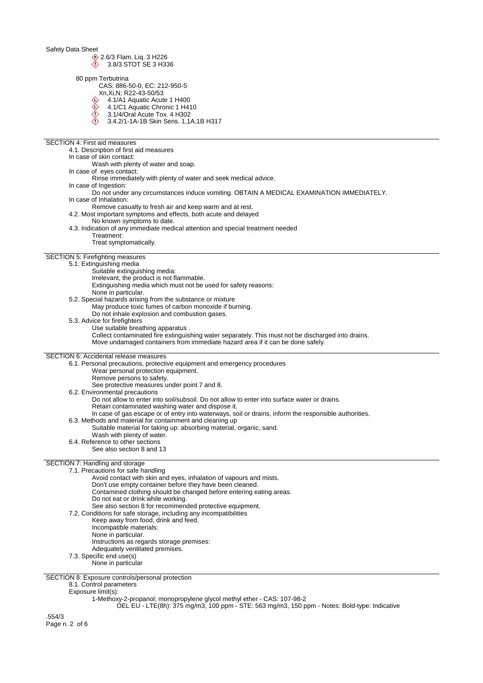$\begin{array}{cc} \circledR 2.6/3 \text{ Flam.} \text{Liq.} 3 \text{H}226 \\ \circlearrowleft 2.8/3 \text{STOT SE } 3 \text{H}33 \end{array}$ 

3.8/3 STOT SE 3 H336

80 ppm Terbutrina

CAS: 886-50-0, EC: 212-950-5

- Xn,Xi,N; R22-43-50/53
	- 4.1/A1 Aquatic Acute 1 H400
	- ♦ 4.1/C1 Aquatic Chronic 1 H410
	- $\bigotimes$ 3.1/4/Oral Acute Tox. 4 H302
	- 3.4.2/1-1A-1B Skin Sens. 1,1A,1B H317
- 

SECTION 4: First aid measures 4.1. Description of first aid measures In case of skin contact: Wash with plenty of water and soap. In case of eyes contact: Rinse immediately with plenty of water and seek medical advice. In case of Ingestion: Do not under any circumstances induce vomiting. OBTAIN A MEDICAL EXAMINATION IMMEDIATELY. In case of Inhalation: Remove casualty to fresh air and keep warm and at rest. 4.2. Most important symptoms and effects, both acute and delayed No known symptoms to date. 4.3. Indication of any immediate medical attention and special treatment needed Treatment: Treat symptomatically. SECTION 5: Firefighting measures 5.1. Extinguishing media Suitable extinguishing media: Irrelevant, the product is not flammable. Extinguishing media which must not be used for safety reasons: None in particular. 5.2. Special hazards arising from the substance or mixture May produce toxic fumes of carbon monoxide if burning. Do not inhale explosion and combustion gases. 5.3. Advice for firefighters Use suitable breathing apparatus . Collect contaminated fire extinguishing water separately. This must not be discharged into drains. Move undamaged containers from immediate hazard area if it can be done safely. SECTION 6: Accidental release measures 6.1. Personal precautions, protective equipment and emergency procedures Wear personal protection equipment. Remove persons to safety. See protective measures under point 7 and 8. 6.2. Environmental precautions Do not allow to enter into soil/subsoil. Do not allow to enter into surface water or drains. Retain contaminated washing water and dispose it. In case of gas escape or of entry into waterways, soil or drains, inform the responsible authorities. 6.3. Methods and material for containment and cleaning up Suitable material for taking up: absorbing material, organic, sand. Wash with plenty of water. 6.4. Reference to other sections See also section 8 and 13 SECTION 7: Handling and storage 7.1. Precautions for safe handling Avoid contact with skin and eyes, inhalation of vapours and mists. Don't use empty container before they have been cleaned. Contamined clothing should be changed before entering eating areas. Do not eat or drink while working. See also section 8 for recommended protective equipment.

- 7.2. Conditions for safe storage, including any incompatibilities
	- Keep away from food, drink and feed.
		- Incompatible materials:
		- None in particular.
		- Instructions as regards storage premises:
	- Adequately ventilated premises.
- 7.3. Specific end use(s)
	- None in particular

SECTION 8: Exposure controls/personal protection

# 8.1. Control parameters

#### Exposure limit(s):

1-Methoxy-2-propanol; monopropylene glycol methyl ether - CAS: 107-98-2

OEL EU - LTE(8h): 375 mg/m3, 100 ppm - STE: 563 mg/m3, 150 ppm - Notes: Bold-type: Indicative

.554/3 Page n. 2 of 6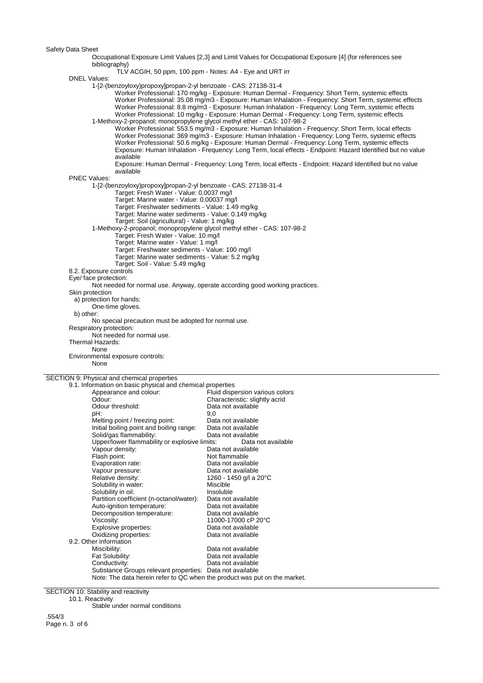Occupational Exposure Limit Values [2,3] and Limit Values for Occupational Exposure [4] (for references see bibliography)

TLV ACGIH, 50 ppm, 100 ppm - Notes: A4 - Eye and URT irr

DNEL Values:

1-[2-(benzoyloxy)propoxy]propan-2-yl benzoate - CAS: 27138-31-4

Worker Professional: 170 mg/kg - Exposure: Human Dermal - Frequency: Short Term, systemic effects Worker Professional: 35.08 mg/m3 - Exposure: Human Inhalation - Frequency: Short Term, systemic effects Worker Professional: 8.8 mg/m3 - Exposure: Human Inhalation - Frequency: Long Term, systemic effects Worker Professional: 10 mg/kg - Exposure: Human Dermal - Frequency: Long Term, systemic effects 1-Methoxy-2-propanol; monopropylene glycol methyl ether - CAS: 107-98-2

Worker Professional: 553.5 mg/m3 - Exposure: Human Inhalation - Frequency: Short Term, local effects Worker Professional: 369 mg/m3 - Exposure: Human Inhalation - Frequency: Long Term, systemic effects Worker Professional: 50.6 mg/kg - Exposure: Human Dermal - Frequency: Long Term, systemic effects Exposure: Human Inhalation - Frequency: Long Term, local effects - Endpoint: Hazard Identified but no value available

Exposure: Human Dermal - Frequency: Long Term, local effects - Endpoint: Hazard Identified but no value available

PNEC Values:

1-[2-(benzoyloxy)propoxy]propan-2-yl benzoate - CAS: 27138-31-4

Target: Fresh Water - Value: 0.0037 mg/l

Target: Marine water - Value: 0.00037 mg/l

Target: Freshwater sediments - Value: 1.49 mg/kg Target: Marine water sediments - Value: 0.149 mg/kg

Target: Soil (agricultural) - Value: 1 mg/kg

1-Methoxy-2-propanol; monopropylene glycol methyl ether - CAS: 107-98-2

Target: Fresh Water - Value: 10 mg/l

Target: Marine water - Value: 1 mg/l

Target: Freshwater sediments - Value: 100 mg/l

Target: Marine water sediments - Value: 5.2 mg/kg

Target: Soil - Value: 5.49 mg/kg

8.2. Exposure controls

Eye/ face protection:

Not needed for normal use. Anyway, operate according good working practices.

#### Skin protection

a) protection for hands:

One-time gloves.

b) other:

No special precaution must be adopted for normal use.

Respiratory protection: Not needed for normal use.

Thermal Hazards:

**None** 

Environmental exposure controls:

None

SECTION 9: Physical and chemical properties

### 9.1. Information on basic physical and chemical properties

| $5.50$ $\ldots$ $5.10$ $\ldots$ $5.10$ $\ldots$ $5.00$ $\ldots$ $5.00$    |                                 |
|---------------------------------------------------------------------------|---------------------------------|
| Appearance and colour:                                                    | Fluid dispersion various colors |
| Odour:                                                                    | Characteristic: slightly acrid  |
| Odour threshold:                                                          | Data not available              |
| pH:                                                                       | 9.0                             |
| Melting point / freezing point:                                           | Data not available              |
| Initial boiling point and boiling range:                                  | Data not available              |
| Solid/gas flammability:                                                   | Data not available              |
| Upper/lower flammability or explosive limits:                             | Data not available              |
| Vapour density:                                                           | Data not available              |
| Flash point:                                                              | Not flammable                   |
| Evaporation rate:                                                         | Data not available              |
| Vapour pressure:                                                          | Data not available              |
| Relative density:                                                         | 1260 - 1450 g/l a 20°C          |
| Solubility in water:                                                      | Miscible                        |
| Solubility in oil:                                                        | Insoluble                       |
| Partition coefficient (n-octanol/water):                                  | Data not available              |
| Auto-ignition temperature:                                                | Data not available              |
| Decomposition temperature:                                                | Data not available              |
| Viscosity:                                                                | 11000-17000 cP 20°C             |
| Explosive properties:                                                     | Data not available              |
| Oxidizing properties:                                                     | Data not available              |
| 9.2. Other information                                                    |                                 |
| Miscibility:                                                              | Data not available              |
| Fat Solubility:                                                           | Data not available              |
| Conductivity:                                                             | Data not available              |
| Substance Groups relevant properties: Data not available                  |                                 |
| Note: The data herein refer to QC when the product was put on the market. |                                 |
|                                                                           |                                 |

SECTION 10: Stability and reactivity

10.1. Reactivity

Stable under normal conditions

.554/3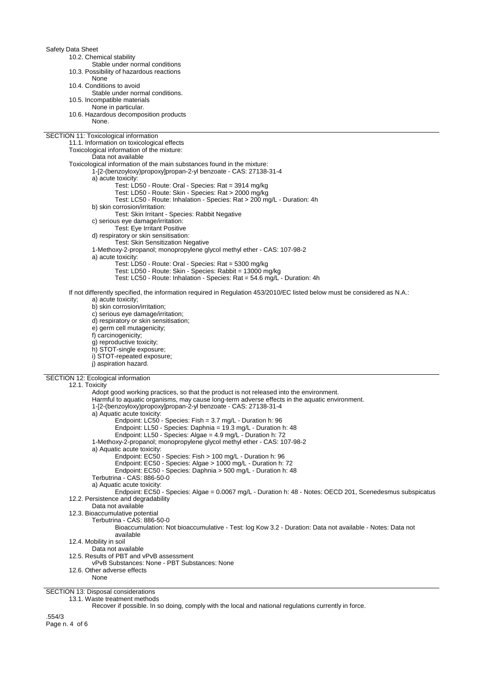Safety Data Sheet 10.2. Chemical stability Stable under normal conditions 10.3. Possibility of hazardous reactions None 10.4. Conditions to avoid Stable under normal conditions. 10.5. Incompatible materials None in particular. 10.6. Hazardous decomposition products None. SECTION 11: Toxicological information 11.1. Information on toxicological effects Toxicological information of the mixture: Data not available Toxicological information of the main substances found in the mixture: 1-[2-(benzoyloxy)propoxy]propan-2-yl benzoate - CAS: 27138-31-4 a) acute toxicity: Test: LD50 - Route: Oral - Species: Rat = 3914 mg/kg Test: LD50 - Route: Skin - Species: Rat > 2000 mg/kg Test: LC50 - Route: Inhalation - Species: Rat > 200 mg/L - Duration: 4h b) skin corrosion/irritation: Test: Skin Irritant - Species: Rabbit Negative c) serious eye damage/irritation: Test: Eye Irritant Positive d) respiratory or skin sensitisation: Test: Skin Sensitization Negative 1-Methoxy-2-propanol; monopropylene glycol methyl ether - CAS: 107-98-2 a) acute toxicity: Test: LD50 - Route: Oral - Species: Rat = 5300 mg/kg Test: LD50 - Route: Skin - Species: Rabbit = 13000 mg/kg Test: LC50 - Route: Inhalation - Species: Rat = 54.6 mg/L - Duration: 4h If not differently specified, the information required in Regulation 453/2010/EC listed below must be considered as N.A.: a) acute toxicity; b) skin corrosion/irritation; c) serious eye damage/irritation; d) respiratory or skin sensitisation; e) germ cell mutagenicity; f) carcinogenicity; g) reproductive toxicity; h) STOT-single exposure; i) STOT-repeated exposure; j) aspiration hazard. SECTION 12: Ecological information 12.1. Toxicity Adopt good working practices, so that the product is not released into the environment. Harmful to aquatic organisms, may cause long-term adverse effects in the aquatic environment. 1-[2-(benzoyloxy)propoxy]propan-2-yl benzoate - CAS: 27138-31-4 a) Aquatic acute toxicity: Endpoint: LC50 - Species: Fish = 3.7 mg/L - Duration h: 96 Endpoint: LL50 - Species: Daphnia = 19.3 mg/L - Duration h: 48 Endpoint: LL50 - Species: Algae = 4.9 mg/L - Duration h: 72 1-Methoxy-2-propanol; monopropylene glycol methyl ether - CAS: 107-98-2 a) Aquatic acute toxicity: Endpoint: EC50 - Species: Fish > 100 mg/L - Duration h: 96 Endpoint: EC50 - Species: Algae > 1000 mg/L - Duration h: 72 Endpoint: EC50 - Species: Daphnia > 500 mg/L - Duration h: 48 Terbutrina - CAS: 886-50-0 a) Aquatic acute toxicity: Endpoint: EC50 - Species: Algae = 0.0067 mg/L - Duration h: 48 - Notes: OECD 201, Scenedesmus subspicatus 12.2. Persistence and degradability Data not available 12.3. Bioaccumulative potential Terbutrina - CAS: 886-50-0 Bioaccumulation: Not bioaccumulative - Test: log Kow 3.2 - Duration: Data not available - Notes: Data not available 12.4. Mobility in soil Data not available 12.5. Results of PBT and vPvB assessment vPvB Substances: None - PBT Substances: None 12.6. Other adverse effects None SECTION 13: Disposal considerations 13.1. Waste treatment methods

Recover if possible. In so doing, comply with the local and national regulations currently in force.

.554/3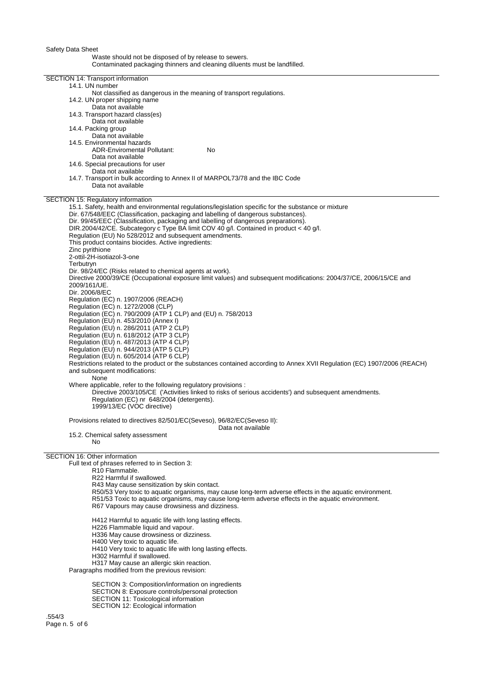## Waste should not be disposed of by release to sewers.

Contaminated packaging thinners and cleaning diluents must be landfilled.

| SECTION 14: Transport information                                                                                                                                                          |
|--------------------------------------------------------------------------------------------------------------------------------------------------------------------------------------------|
|                                                                                                                                                                                            |
| 14.1. UN number<br>Not classified as dangerous in the meaning of transport regulations.                                                                                                    |
| 14.2. UN proper shipping name                                                                                                                                                              |
| Data not available                                                                                                                                                                         |
| 14.3. Transport hazard class(es)                                                                                                                                                           |
| Data not available<br>14.4. Packing group                                                                                                                                                  |
| Data not available                                                                                                                                                                         |
| 14.5. Environmental hazards                                                                                                                                                                |
| <b>ADR-Enviromental Pollutant:</b><br>No                                                                                                                                                   |
| Data not available                                                                                                                                                                         |
| 14.6. Special precautions for user<br>Data not available                                                                                                                                   |
| 14.7. Transport in bulk according to Annex II of MARPOL73/78 and the IBC Code                                                                                                              |
| Data not available                                                                                                                                                                         |
|                                                                                                                                                                                            |
| SECTION 15: Regulatory information                                                                                                                                                         |
| 15.1. Safety, health and environmental regulations/legislation specific for the substance or mixture<br>Dir. 67/548/EEC (Classification, packaging and labelling of dangerous substances). |
| Dir. 99/45/EEC (Classification, packaging and labelling of dangerous preparations).                                                                                                        |
| DIR.2004/42/CE. Subcategory c Type BA limit COV 40 g/l. Contained in product < 40 g/l.                                                                                                     |
| Regulation (EU) No 528/2012 and subsequent amendments.                                                                                                                                     |
| This product contains biocides. Active ingredients:                                                                                                                                        |
| Zinc pyrithione                                                                                                                                                                            |
| 2-ottil-2H-isotiazol-3-one                                                                                                                                                                 |
| Terbutryn                                                                                                                                                                                  |
| Dir. 98/24/EC (Risks related to chemical agents at work).<br>Directive 2000/39/CE (Occupational exposure limit values) and subsequent modifications: 2004/37/CE, 2006/15/CE and            |
| 2009/161/UE.                                                                                                                                                                               |
| Dir. 2006/8/EC                                                                                                                                                                             |
| Regulation (EC) n. 1907/2006 (REACH)                                                                                                                                                       |
| Regulation (EC) n. 1272/2008 (CLP)                                                                                                                                                         |
| Regulation (EC) n. 790/2009 (ATP 1 CLP) and (EU) n. 758/2013                                                                                                                               |
| Regulation (EU) n. 453/2010 (Annex I)                                                                                                                                                      |
| Regulation (EU) n. 286/2011 (ATP 2 CLP)<br>Regulation (EU) n. 618/2012 (ATP 3 CLP)                                                                                                         |
| Regulation (EU) n. 487/2013 (ATP 4 CLP)                                                                                                                                                    |
| Regulation (EU) n. 944/2013 (ATP 5 CLP)                                                                                                                                                    |
| Regulation (EU) n. 605/2014 (ATP 6 CLP)                                                                                                                                                    |
| Restrictions related to the product or the substances contained according to Annex XVII Regulation (EC) 1907/2006 (REACH)                                                                  |
| and subsequent modifications:                                                                                                                                                              |
| None<br>Where applicable, refer to the following regulatory provisions:                                                                                                                    |
| Directive 2003/105/CE ('Activities linked to risks of serious accidents') and subsequent amendments.                                                                                       |
| Regulation (EC) nr 648/2004 (detergents).                                                                                                                                                  |
| 1999/13/EC (VOC directive)                                                                                                                                                                 |
|                                                                                                                                                                                            |
| Provisions related to directives 82/501/EC(Seveso), 96/82/EC(Seveso II):                                                                                                                   |
| Data not available<br>15.2. Chemical safety assessment                                                                                                                                     |
| No.                                                                                                                                                                                        |
|                                                                                                                                                                                            |
| SECTION 16: Other information                                                                                                                                                              |
| Full text of phrases referred to in Section 3:<br>R10 Flammable.                                                                                                                           |
| R22 Harmful if swallowed.                                                                                                                                                                  |
| R43 May cause sensitization by skin contact.                                                                                                                                               |
| R50/53 Very toxic to aquatic organisms, may cause long-term adverse effects in the aquatic environment.                                                                                    |
| R51/53 Toxic to aquatic organisms, may cause long-term adverse effects in the aquatic environment.                                                                                         |
| R67 Vapours may cause drowsiness and dizziness.                                                                                                                                            |
| H412 Harmful to aquatic life with long lasting effects.                                                                                                                                    |
| H226 Flammable liquid and vapour.                                                                                                                                                          |
| H336 May cause drowsiness or dizziness.                                                                                                                                                    |
| H400 Very toxic to aquatic life.                                                                                                                                                           |
| H410 Very toxic to aquatic life with long lasting effects.                                                                                                                                 |
| H302 Harmful if swallowed.                                                                                                                                                                 |
| H317 May cause an allergic skin reaction.                                                                                                                                                  |
| Paragraphs modified from the previous revision:                                                                                                                                            |

SECTION 3: Composition/information on ingredients SECTION 8: Exposure controls/personal protection SECTION 11: Toxicological information SECTION 12: Ecological information

.554/3 Page n. 5 of 6